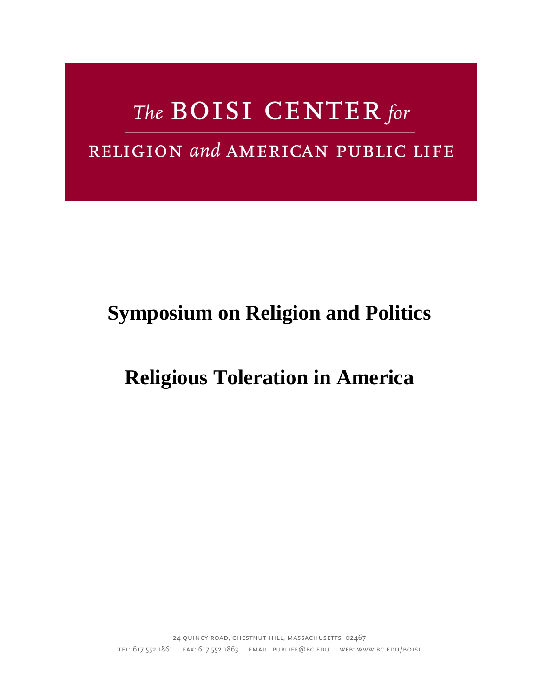# The BOISI CENTER for

## RELIGION and AMERICAN PUBLIC LIFE

# **Symposium on Religion and Politics**

# **Religious Toleration in America**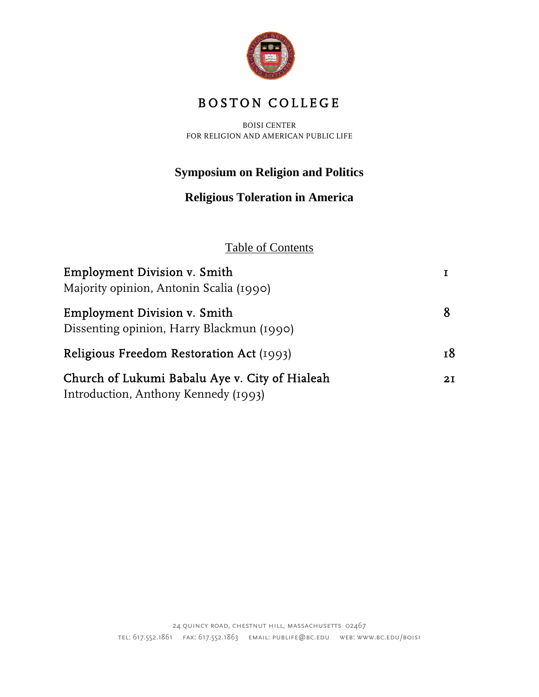

### BOSTON COLLEGE

BOISI CENTER FOR RELIGION AND AMERICAN PUBLIC LIFE

### **Symposium on Religion and Politics**

### **Religious Toleration in America**

### Table of Contents

| <b>Employment Division v. Smith</b><br>Majority opinion, Antonin Scalia (1990)         |           |
|----------------------------------------------------------------------------------------|-----------|
| <b>Employment Division v. Smith</b><br>Dissenting opinion, Harry Blackmun (1990)       |           |
| Religious Freedom Restoration Act (1993)                                               | <b>18</b> |
| Church of Lukumi Babalu Aye v. City of Hialeah<br>Introduction, Anthony Kennedy (1993) | 2I        |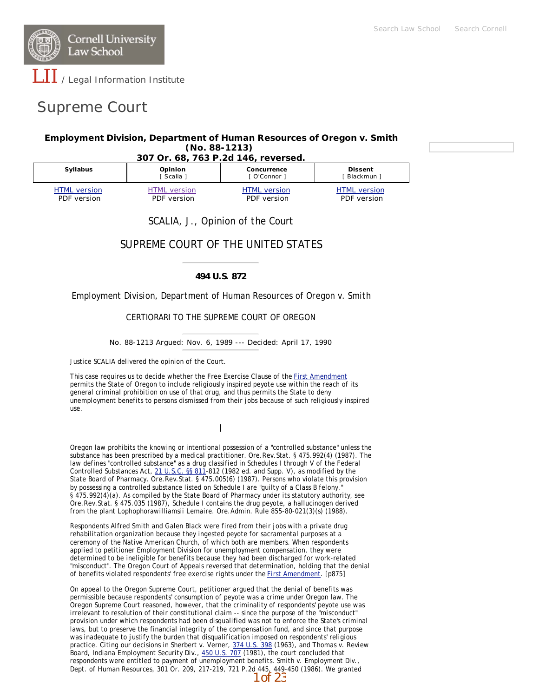

/ Legal Information Institute

### Supreme Court

#### **Employment Division, Department of Human Resources of Oregon v. Smith (No. 88-1213)**   $\overline{3}$

| 307 UT. 06, 703 P.20 140, Teversed. |                     |                     |                     |  |
|-------------------------------------|---------------------|---------------------|---------------------|--|
| <b>Syllabus</b>                     | Opinion             | Concurrence         | <b>Dissent</b>      |  |
|                                     | I Scalia 1          | [ O'Connor ]        | [ Blackmun ]        |  |
| <b>HTML</b> version                 | <b>HTML</b> version | <b>HTML</b> version | <b>HTML</b> version |  |
| PDF version                         | PDF version         | PDF version         | PDF version         |  |

SCALIA, J., Opinion of the Court

### SUPREME COURT OF THE UNITED STATES

### **494 U.S. 872**

Employment Division, Department of Human Resources of Oregon v. Smith

### CERTIORARI TO THE SUPREME COURT OF OREGON

No. 88-1213 Argued: Nov. 6, 1989 --- Decided: April 17, 1990

Justice SCALIA delivered the opinion of the Court.

This case requires us to decide whether the Free Exercise Clause of the First Amendment permits the State of Oregon to include religiously inspired peyote use within the reach of its general criminal prohibition on use of that drug, and thus permits the State to deny unemployment benefits to persons dismissed from their jobs because of such religiously inspired use.

I

Oregon law prohibits the knowing or intentional possession of a "controlled substance" unless the substance has been prescribed by a medical practitioner. Ore.Rev.Stat. § 475.992(4) (1987). The law defines "controlled substance" as a drug classified in Schedules I through V of the Federal Controlled Substances Act,  $21 \text{ U.S.C.}$  §§  $811$ -812 (1982 ed. and Supp. V), as modified by the State Board of Pharmacy. Ore.Rev.Stat. § 475.005(6) (1987). Persons who violate this provision by possessing a controlled substance listed on Schedule I are "guilty of a Class B felony. § 475.992(4)(a). As compiled by the State Board of Pharmacy under its statutory authority, *see* Ore.Rev.Stat. § 475.035 (1987), Schedule I contains the drug peyote, a hallucinogen derived from the plant Lophophorawilliamsii Lemaire. Ore.Admin. Rule 855-80-021(3)(s) (1988).

Respondents Alfred Smith and Galen Black were fired from their jobs with a private drug rehabilitation organization because they ingested peyote for sacramental purposes at a ceremony of the Native American Church, of which both are members. When respondents applied to petitioner Employment Division for unemployment compensation, they were determined to be ineligible for benefits because they had been discharged for work-related "misconduct". The Oregon Court of Appeals reversed that determination, holding that the denial of benefits violated respondents' free exercise rights under the **First Amendment**. [p875]

On appeal to the Oregon Supreme Court, petitioner argued that the denial of benefits was permissible because respondents' consumption of peyote was a crime under Oregon law. The Oregon Supreme Court reasoned, however, that the criminality of respondents' peyote use was irrelevant to resolution of their constitutional claim -- since the purpose of the "misconduct" provision under which respondents had been disqualified was not to enforce the State's criminal laws, but to preserve the financial integrity of the compensation fund, and since that purpose was inadequate to justify the burden that disqualification imposed on respondents' religious practice. Citing our decisions in *Sherbert v. Verner,* 374 U.S. 398 (1963), and *Thomas v. Review Board, Indiana Employment Security Div.,* 450 U.S. 707 (1981), the court concluded that respondents were entitled to payment of unemployment benefits. *Smith v. Employment Div., Dept. of Human Resources,* 301 Or. 209, 217-219, 721 P.2d 445, 449-450 (1986). We granted

### 1 of 23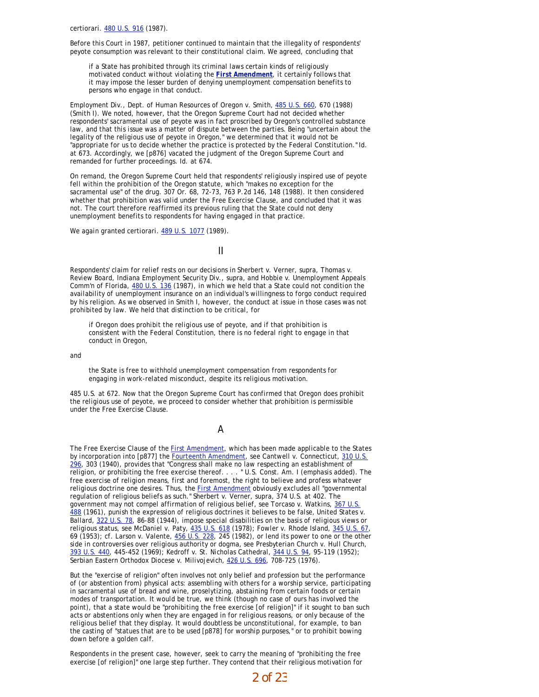certiorari. 480 U.S. 916 (1987).

Before this Court in 1987, petitioner continued to maintain that the illegality of respondents' peyote consumption was relevant to their constitutional claim. We agreed, concluding that

if a State has prohibited through its criminal laws certain kinds of religiously motivated conduct without violating the **First Amendment**, it certainly follows that it may impose the lesser burden of denying unemployment compensation benefits to persons who engage in that conduct.

*Employment Div., Dept. of Human Resources of Oregon v. Smith,* 485 U.S. 660, 670 (1988) (*Smith I*). We noted, however, that the Oregon Supreme Court had not decided whether respondents' sacramental use of peyote was in fact proscribed by Oregon's controlled substance law, and that this issue was a matter of dispute between the parties. Being "uncertain about the legality of the religious use of peyote in Oregon," we determined that it would not be "appropriate for us to decide whether the practice is protected by the Federal Constitution." *Id.* at 673. Accordingly, we [p876] vacated the judgment of the Oregon Supreme Court and remanded for further proceedings. *Id.* at 674.

On remand, the Oregon Supreme Court held that respondents' religiously inspired use of peyote fell within the prohibition of the Oregon statute, which "makes no exception for the sacramental use" of the drug. 307 Or. 68, 72-73, 763 P.2d 146, 148 (1988). It then considered whether that prohibition was valid under the Free Exercise Clause, and concluded that it was not. The court therefore reaffirmed its previous ruling that the State could not deny unemployment benefits to respondents for having engaged in that practice.

We again granted certiorari. 489 U.S. 1077 (1989).

II

Respondents' claim for relief rests on our decisions in *Sherbert v. Verner, supra, Thomas v. Review Board, Indiana Employment Security Div., supra,* and *Hobbie v. Unemployment Appeals Comm'n of Florida,* 480 U.S. 136 (1987), in which we held that a State could not condition the availability of unemployment insurance on an individual's willingness to forgo conduct required by his religion. As we observed in *Smith I,* however, the conduct at issue in those cases was not prohibited by law. We held that distinction to be critical, for

if Oregon does prohibit the religious use of peyote, and if that prohibition is consistent with the Federal Constitution, there is no federal right to engage in that conduct in Oregon,

and

the State is free to withhold unemployment compensation from respondents for engaging in work-related misconduct, despite its religious motivation.

485 U.S. at 672. Now that the Oregon Supreme Court has confirmed that Oregon does prohibit the religious use of peyote, we proceed to consider whether that prohibition is permissible under the Free Exercise Clause.

A

The Free Exercise Clause of the First Amendment, which has been made applicable to the States by incorporation into [p877] the Fourteenth Amendment, *see Cantwell v. Connecticut,* 310 U.S. 296, 303 (1940), provides that "Congress shall make no law respecting an establishment of religion, or *prohibiting the free exercise thereof.* . . . " U.S. Const. Am. I (emphasis added). The free exercise of religion means, first and foremost, the right to believe and profess whatever religious doctrine one desires. Thus, the *First Amendment* obviously excludes all "governmental regulation of religious beliefs as such." *Sherbert v. Verner, supra,* 374 U.S. at 402. The government may not compel affirmation of religious belief, *see Torcaso v. Watkins,* 367 U.S. 488 (1961), punish the expression of religious doctrines it believes to be false, *United States v. Ballard,* 322 U.S. 78, 86-88 (1944), impose special disabilities on the basis of religious views or religious status, *see McDaniel v. Paty,* 435 U.S. 618 (1978); *Fowler v. Rhode Island,* 345 U.S. 67, 69 (1953); *cf. Larson v. Valente,* 456 U.S. 228, 245 (1982), or lend its power to one or the other side in controversies over religious authority or dogma, *see Presbyterian Church v. Hull Church,* 393 U.S. 440, 445-452 (1969); *Kedroff v. St. Nicholas Cathedral,* 344 U.S. 94, 95-119 (1952); *Serbian Eastern Orthodox Diocese v. Milivojevich,* 426 U.S. 696, 708-725 (1976).

But the "exercise of religion" often involves not only belief and profession but the performance of (or abstention from) physical acts: assembling with others for a worship service, participating in sacramental use of bread and wine, proselytizing, abstaining from certain foods or certain modes of transportation. It would be true, we think (though no case of ours has involved the point), that a state would be "prohibiting the free exercise [of religion]" if it sought to ban such acts or abstentions only when they are engaged in for religious reasons, or only because of the religious belief that they display. It would doubtless be unconstitutional, for example, to ban the casting of "statues that are to be used [p878] for worship purposes," or to prohibit bowing down before a golden calf.

Respondents in the present case, however, seek to carry the meaning of "prohibiting the free exercise [of religion]" one large step further. They contend that their religious motivation for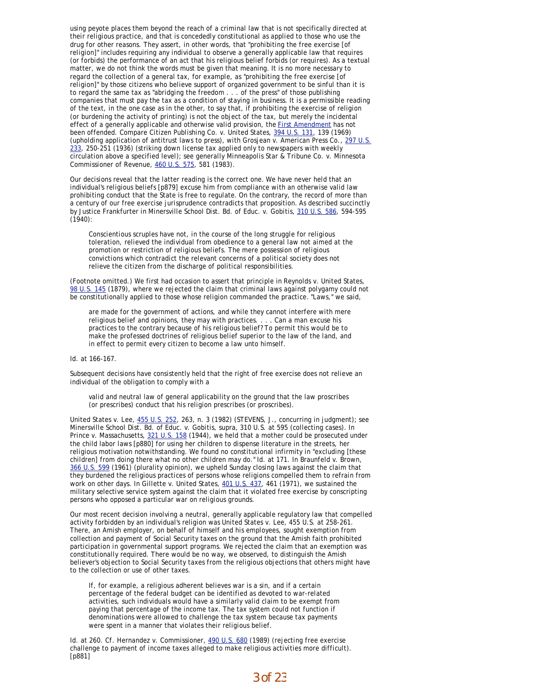using peyote places them beyond the reach of a criminal law that is not specifically directed at their religious practice, and that is concededly constitutional as applied to those who use the drug for other reasons. They assert, in other words, that "prohibiting the free exercise [of religion]" includes requiring any individual to observe a generally applicable law that requires (or forbids) the performance of an act that his religious belief forbids (or requires). As a textual matter, we do not think the words must be given that meaning. It is no more necessary to regard the collection of a general tax, for example, as "prohibiting the free exercise [of religion]" by those citizens who believe support of organized government to be sinful than it is to regard the same tax as "abridging the freedom . . . of the press" of those publishing companies that must pay the tax as a condition of staying in business. It is a permissible reading of the text, in the one case as in the other, to say that, if prohibiting the exercise of religion (or burdening the activity of printing) is not the object of the tax, but merely the incidental effect of a generally applicable and otherwise valid provision, the **First Amendment** has not been offended. *Compare Citizen Publishing Co. v. United States,* 394 U.S. 131, 139 (1969) (upholding application of antitrust laws to press), *with Grosjean v. American Press Co.,* 297 U.S. 233, 250-251 (1936) (striking down license tax applied only to newspapers with weekly circulation above a specified level); *see generally Minneapolis Star & Tribune Co. v. Minnesota Commissioner of Revenue,* 460 U.S. 575, 581 (1983).

Our decisions reveal that the latter reading is the correct one. We have never held that an individual's religious beliefs [p879] excuse him from compliance with an otherwise valid law prohibiting conduct that the State is free to regulate. On the contrary, the record of more than a century of our free exercise jurisprudence contradicts that proposition. As described succinctly by Justice Frankfurter in *Minersville School Dist. Bd. of Educ. v. Gobitis,* 310 U.S. 586, 594-595 (1940):

Conscientious scruples have not, in the course of the long struggle for religious toleration, relieved the individual from obedience to a general law not aimed at the promotion or restriction of religious beliefs. The mere possession of religious convictions which contradict the relevant concerns of a political society does not relieve the citizen from the discharge of political responsibilities.

(Footnote omitted.) We first had occasion to assert that principle in *Reynolds v. United States,* 98 U.S. 145 (1879), where we rejected the claim that criminal laws against polygamy could not be constitutionally applied to those whose religion commanded the practice. "Laws," we said,

are made for the government of actions, and while they cannot interfere with mere religious belief and opinions, they may with practices. . . . Can a man excuse his practices to the contrary because of his religious belief? To permit this would be to make the professed doctrines of religious belief superior to the law of the land, and in effect to permit every citizen to become a law unto himself.

#### *Id.* at 166-167.

Subsequent decisions have consistently held that the right of free exercise does not relieve an individual of the obligation to comply with a

valid and neutral law of general applicability on the ground that the law proscribes (or prescribes) conduct that his religion prescribes (or proscribes).

*United States v. Lee,* 455 U.S. 252, 263, n. 3 (1982) (STEVENS, J., concurring in judgment); *see Minersville School Dist. Bd. of Educ. v. Gobitis, supra,* 310 U.S. at 595 (collecting cases). In *Prince v. Massachusetts,* 321 U.S. 158 (1944), we held that a mother could be prosecuted under the child labor laws [p880] for using her children to dispense literature in the streets, her religious motivation notwithstanding. We found no constitutional infirmity in "excluding [these children] from doing there what no other children may do." *Id.* at 171. In *Braunfeld v. Brown,* 366 U.S. 599 (1961) (plurality opinion), we upheld Sunday closing laws against the claim that they burdened the religious practices of persons whose religions compelled them to refrain from work on other days. In *Gillette v. United States,* 401 U.S. 437, 461 (1971), we sustained the military selective service system against the claim that it violated free exercise by conscripting persons who opposed a particular war on religious grounds.

Our most recent decision involving a neutral, generally applicable regulatory law that compelled activity forbidden by an individual's religion was *United States v. Lee,* 455 U.S. at 258-261. There, an Amish employer, on behalf of himself and his employees, sought exemption from collection and payment of Social Security taxes on the ground that the Amish faith prohibited participation in governmental support programs. We rejected the claim that an exemption was constitutionally required. There would be no way, we observed, to distinguish the Amish believer's objection to Social Security taxes from the religious objections that others might have to the collection or use of other taxes.

If, for example, a religious adherent believes war is a sin, and if a certain percentage of the federal budget can be identified as devoted to war-related activities, such individuals would have a similarly valid claim to be exempt from paying that percentage of the income tax. The tax system could not function if denominations were allowed to challenge the tax system because tax payments were spent in a manner that violates their religious belief.

*Id.* at 260. *Cf. Hernandez v. Commissioner,* 490 U.S. 680 (1989) (rejecting free exercise challenge to payment of income taxes alleged to make religious activities more difficult). [p881]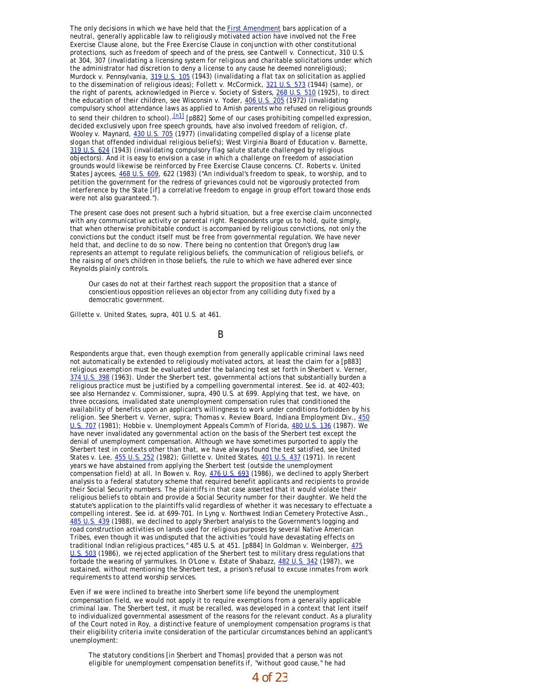The only decisions in which we have held that the **First Amendment** bars application of a neutral, generally applicable law to religiously motivated action have involved not the Free Exercise Clause alone, but the Free Exercise Clause in conjunction with other constitutional protections, such as freedom of speech and of the press, *see Cantwell v. Connecticut,* 310 U.S. at 304, 307 (invalidating a licensing system for religious and charitable solicitations under which the administrator had discretion to deny a license to any cause he deemed nonreligious); *Murdock v. Pennsylvania,* 319 U.S. 105 (1943) (invalidating a flat tax on solicitation as applied to the dissemination of religious ideas); *Follett v. McCormick,* 321 U.S. 573 (1944) (same), or the right of parents, acknowledged in *Pierce v. Society of Sisters,* 268 U.S. 510 (1925), to direct the education of their children, *see Wisconsin v. Yoder,* 406 U.S. 205 (1972) (invalidating compulsory school attendance laws as applied to Amish parents who refused on religious grounds to send their children to school).  $\frac{\ln 1}{\ln 2}$  [p882] Some of our cases prohibiting compelled expression, decided exclusively upon free speech grounds, have also involved freedom of religion, *cf. Wooley v. Maynard,* 430 U.S. 705 (1977) (invalidating compelled display of a license plate slogan that offended individual religious beliefs); *West Virginia Board of Education v. Barnette,* 319 U.S. 624 (1943) (invalidating compulsory flag salute statute challenged by religious objectors). And it is easy to envision a case in which a challenge on freedom of association grounds would likewise be reinforced by Free Exercise Clause concerns. *Cf. Roberts v. United States Jaycees,* 468 U.S. 609, 622 (1983) ("An individual's freedom to speak, to worship, and to petition the government for the redress of grievances could not be vigorously protected from interference by the State [if] a correlative freedom to engage in group effort toward those ends were not also guaranteed.").

The present case does not present such a hybrid situation, but a free exercise claim unconnected with any communicative activity or parental right. Respondents urge us to hold, quite simply, that when otherwise prohibitable conduct is accompanied by religious convictions, not only the convictions but the conduct itself must be free from governmental regulation. We have never held that, and decline to do so now. There being no contention that Oregon's drug law represents an attempt to regulate religious beliefs, the communication of religious beliefs, or the raising of one's children in those beliefs, the rule to which we have adhered ever since *Reynolds* plainly controls.

Our cases do not at their farthest reach support the proposition that a stance of conscientious opposition relieves an objector from any colliding duty fixed by a democratic government.

*Gillette v. United States, supra,* 401 U.S. at 461.

#### B

Respondents argue that, even though exemption from generally applicable criminal laws need not automatically be extended to religiously motivated actors, at least the claim for a [p883] religious exemption must be evaluated under the balancing test set forth in *Sherbert v. Verner,* 374 U.S. 398 (1963). Under the *Sherbert* test, governmental actions that substantially burden a religious practice must be justified by a compelling governmental interest. *See id.* at 402-403; *see also Hernandez v. Commissioner, supra,* 490 U.S. at 699. Applying that test, we have, on three occasions, invalidated state unemployment compensation rules that conditioned the availability of benefits upon an applicant's willingness to work under conditions forbidden by his religion. *See Sherbert v. Verner, supra; Thomas v. Review Board, Indiana Employment Div.,* 450 U.S. 707 (1981); *Hobbie v. Unemployment Appeals Comm'n of Florida,* 480 U.S. 136 (1987). We have never invalidated any governmental action on the basis of the *Sherbert* test except the denial of unemployment compensation. Although we have sometimes purported to apply the *Sherbert* test in contexts other than that, we have always found the test satisfied, *see United States v. Lee,* 455 U.S. 252 (1982); *Gillette v. United States,* 401 U.S. 437 (1971). In recent years we have abstained from applying the *Sherbert* test (outside the unemployment compensation field) at all. In *Bowen v. Roy,* 476 U.S. 693 (1986), we declined to apply *Sherbert* analysis to a federal statutory scheme that required benefit applicants and recipients to provide their Social Security numbers. The plaintiffs in that case asserted that it would violate their religious beliefs to obtain and provide a Social Security number for their daughter. We held the statute's application to the plaintiffs valid regardless of whether it was necessary to effectuate a compelling interest. *See id.* at 699-701. In *Lyng v. Northwest Indian Cemetery Protective Assn.,* 485 U.S. 439 (1988), we declined to apply *Sherbert* analysis to the Government's logging and road construction activities on lands used for religious purposes by several Native American Tribes, even though it was undisputed that the activities "could have devastating effects on traditional Indian religious practices," 485 U.S. at 451. [p884] In *Goldman v. Weinberger,* 475 U.S. 503 (1986), we rejected application of the *Sherbert* test to military dress regulations that forbade the wearing of yarmulkes. In *O'Lone v. Estate of Shabazz,* 482 U.S. 342 (1987), we sustained, without mentioning the *Sherbert* test, a prison's refusal to excuse inmates from work requirements to attend worship services.

Even if we were inclined to breathe into *Sherbert* some life beyond the unemployment compensation field, we would not apply it to require exemptions from a generally applicable criminal law. The *Sherbert* test, it must be recalled, was developed in a context that lent itself to individualized governmental assessment of the reasons for the relevant conduct. As a plurality of the Court noted in *Roy,* a distinctive feature of unemployment compensation programs is that their eligibility criteria invite consideration of the particular circumstances behind an applicant's unemployment:

The statutory conditions [in *Sherbert* and *Thomas*] provided that a person was not eligible for unemployment compensation benefits if, "without good cause," he had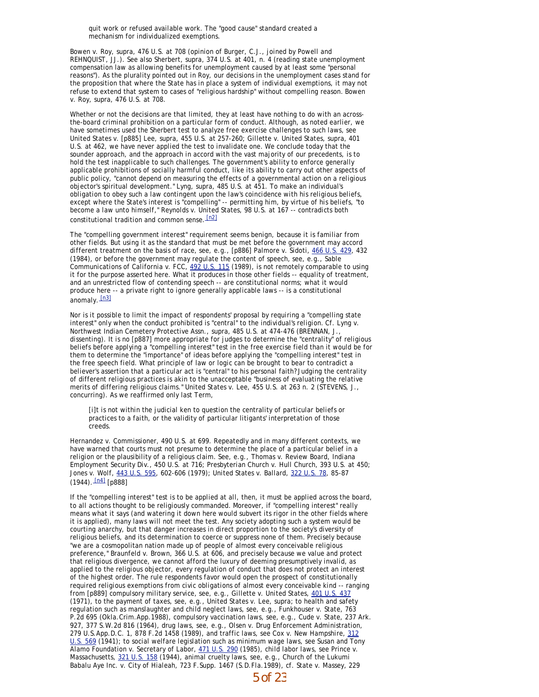quit work or refused available work. The "good cause" standard created a mechanism for individualized exemptions.

*Bowen v. Roy, supra,* 476 U.S. at 708 (opinion of Burger, C.J., joined by Powell and REHNQUIST, JJ.). *See also Sherbert, supra,* 374 U.S. at 401, n. 4 (reading state unemployment compensation law as allowing benefits for unemployment caused by at least some "personal reasons"). As the plurality pointed out in *Roy,* our decisions in the unemployment cases stand for the proposition that where the State has in place a system of individual exemptions, it may not refuse to extend that system to cases of "religious hardship" without compelling reason. *Bowen v. Roy, supra,* 476 U.S. at 708.

Whether or not the decisions are that limited, they at least have nothing to do with an acrossthe-board criminal prohibition on a particular form of conduct. Although, as noted earlier, we have sometimes used the *Sherbert* test to analyze free exercise challenges to such laws, *see United States v.* [p885] *Lee, supra,* 455 U.S. at 257-260; *Gillette v. United States, supra,* 401 U.S. at 462, we have never applied the test to invalidate one. We conclude today that the sounder approach, and the approach in accord with the vast majority of our precedents, is to hold the test inapplicable to such challenges. The government's ability to enforce generally applicable prohibitions of socially harmful conduct, like its ability to carry out other aspects of public policy, "cannot depend on measuring the effects of a governmental action on a religious objector's spiritual development." *Lyng, supra,* 485 U.S. at 451. To make an individual's obligation to obey such a law contingent upon the law's coincidence with his religious beliefs, except where the State's interest is "compelling" -- permitting him, by virtue of his beliefs, "to become a law unto himself," *Reynolds v. United States,* 98 U.S. at 167 -- contradicts both constitutional tradition and common sense. [n2]

The "compelling government interest" requirement seems benign, because it is familiar from other fields. But using it as the standard that must be met before the government may accord different treatment on the basis of race, *see, e.g.,* [p886] *Palmore v. Sidoti,* 466 U.S. 429, 432 (1984), or before the government may regulate the content of speech, *see, e.g., Sable Communications of California v. FCC,* 492 U.S. 115 (1989), is not remotely comparable to using it for the purpose asserted here. What it produces in those other fields -- equality of treatment, and an unrestricted flow of contending speech -- are constitutional norms; what it would produce here -- a private right to ignore generally applicable laws -- is a constitutional anomaly. [n3]

Nor is it possible to limit the impact of respondents' proposal by requiring a "compelling state interest" only when the conduct prohibited is "central" to the individual's religion. *Cf. Lyng v. Northwest Indian Cemetery Protective Assn., supra,* 485 U.S. at 474-476 (BRENNAN, J., dissenting). It is no [p887] more appropriate for judges to determine the "centrality" of religious beliefs before applying a "compelling interest" test in the free exercise field than it would be for them to determine the "importance" of ideas before applying the "compelling interest" test in the free speech field. What principle of law or logic can be brought to bear to contradict a believer's assertion that a particular act is "central" to his personal faith? Judging the centrality of different religious practices is akin to the unacceptable "business of evaluating the relative merits of differing religious claims." *United States v. Lee,* 455 U.S. at 263 n. 2 (STEVENS, J., concurring). As we reaffirmed only last Term,

[i]t is not within the judicial ken to question the centrality of particular beliefs or practices to a faith, or the validity of particular litigants' interpretation of those creeds.

*Hernandez v. Commissioner,* 490 U.S. at 699. Repeatedly and in many different contexts, we have warned that courts must not presume to determine the place of a particular belief in a religion or the plausibility of a religious claim. *See, e.g., Thomas v. Review Board, Indiana Employment Security Div.,* 450 U.S. at 716; *Presbyterian Church v. Hull Church,* 393 U.S. at 450; *Jones v. Wolf,* 443 U.S. 595, 602-606 (1979); *United States v. Ballard,* 322 U.S. 78, 85-87  $(1944)$ .  $\frac{\ln 41}{\ln 8881}$ 

If the "compelling interest" test is to be applied at all, then, it must be applied across the board, to all actions thought to be religiously commanded. Moreover, if "compelling interest" really means what it says (and watering it down here would subvert its rigor in the other fields where it is applied), many laws will not meet the test. Any society adopting such a system would be courting anarchy, but that danger increases in direct proportion to the society's diversity of religious beliefs, and its determination to coerce or suppress none of them. Precisely because "we are a cosmopolitan nation made up of people of almost every conceivable religious preference," *Braunfeld v. Brown,* 366 U.S. at 606, and precisely because we value and protect that religious divergence, we cannot afford the luxury of deeming *presumptively invalid,* as applied to the religious objector, every regulation of conduct that does not protect an interest of the highest order. The rule respondents favor would open the prospect of constitutionally required religious exemptions from civic obligations of almost every conceivable kind -- ranging from [p889] compulsory military service, *see, e.g., Gillette v. United States,* 401 U.S. 437 (1971), to the payment of taxes, *see, e.g., United States v. Lee, supra;* to health and safety regulation such as manslaughter and child neglect laws, *see, e.g., Funkhouser v. State,* 763 P.2d 695 (Okla.Crim.App.1988), compulsory vaccination laws, *see, e.g., Cude v. State,* 237 Ark. 927, 377 S.W.2d 816 (1964), drug laws, *see, e.g., Olsen v. Drug Enforcement Administration,* 279 U.S.App.D.C. 1, 878 F.2d 1458 (1989), and traffic laws, *see Cox v. New Hampshire,* 312 U.S. 569 (1941); to social welfare legislation such as minimum wage laws, *see Susan and Tony Alamo Foundation v. Secretary of Labor,* 471 U.S. 290 (1985), child labor laws, *see Prince v. Massachusetts,* 321 U.S. 158 (1944), animal cruelty laws, *see, e.g., Church of the Lukumi Babalu Aye Inc. v. City of Hialeah,* 723 F.Supp. 1467 (S.D.Fla.1989), *cf. State v. Massey,* 229

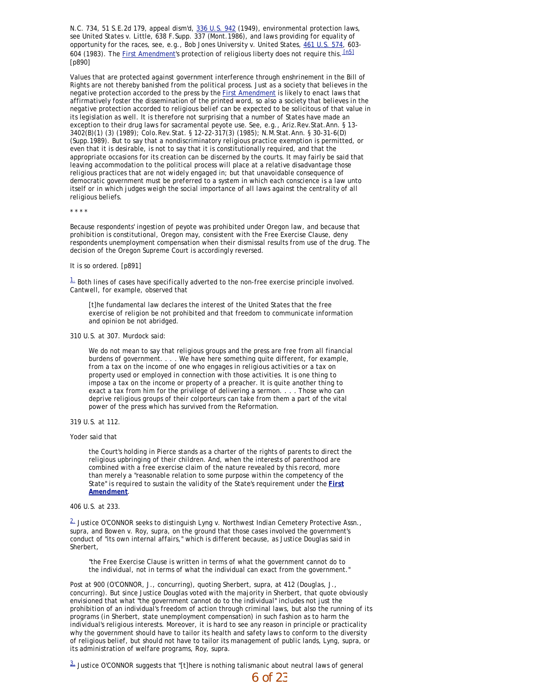N.C. 734, 51 S.E.2d 179, *appeal dism'd,* 336 U.S. 942 (1949), environmental protection laws, *see United States v. Little,* 638 F.Supp. 337 (Mont.1986), and laws providing for equality of opportunity for the races, *see, e.g., Bob Jones University v. United States,* 461 U.S. 574, 603- 604 (1983). The *First Amendment's protection of religious liberty does not require this*. [n5] [p890]

Values that are protected against government interference through enshrinement in the Bill of Rights are not thereby banished from the political process. Just as a society that believes in the negative protection accorded to the press by the First Amendment is likely to enact laws that affirmatively foster the dissemination of the printed word, so also a society that believes in the negative protection accorded to religious belief can be expected to be solicitous of that value in its legislation as well. It is therefore not surprising that a number of States have made an exception to their drug laws for sacramental peyote use. *See, e.g.,* Ariz.Rev.Stat.Ann. § 13- 3402(B)(1) (3) (1989); Colo.Rev.Stat. § 12-22-317(3) (1985); N.M.Stat.Ann. § 30-31-6(D) (Supp.1989). But to say that a nondiscriminatory religious practice exemption is permitted, or even that it is desirable, is not to say that it is constitutionally required, and that the appropriate occasions for its creation can be discerned by the courts. It may fairly be said that leaving accommodation to the political process will place at a relative disadvantage those religious practices that are not widely engaged in; but that unavoidable consequence of democratic government must be preferred to a system in which each conscience is a law unto itself or in which judges weigh the social importance of all laws against the centrality of all religious beliefs.

\* \* \* \*

Because respondents' ingestion of peyote was prohibited under Oregon law, and because that prohibition is constitutional, Oregon may, consistent with the Free Exercise Clause, deny respondents unemployment compensation when their dismissal results from use of the drug. The decision of the Oregon Supreme Court is accordingly reversed.

#### *It is so ordered.* [p891]

 $\frac{1}{2}$  Both lines of cases have specifically adverted to the non-free exercise principle involved. Cantwell, for example, observed that

[t]he fundamental law declares the interest of the United States that the free exercise of religion be not prohibited and that freedom to communicate information and opinion be not abridged.

#### 310 U.S. at 307. *Murdock* said:

We do not mean to say that religious groups and the press are free from all financial burdens of government. . . . We have here something quite different, for example, from a tax on the income of one who engages in religious activities or a tax on property used or employed in connection with those activities. It is one thing to impose a tax on the income or property of a preacher. It is quite another thing to exact a tax from him for the privilege of delivering a sermon. . . . Those who can deprive religious groups of their colporteurs can take from them a part of the vital power of the press which has survived from the Reformation.

#### 319 U.S. at 112.

*Yoder* said that

the Court's holding in *Pierce* stands as a charter of the rights of parents to direct the religious upbringing of their children. And, when the interests of parenthood are combined with a free exercise claim of the nature revealed by this record, more than merely a "reasonable relation to some purpose within the competency of the State" is required to sustain the validity of the State's requirement under the **First Amendment**.

#### 406 U.S. at 233.

 $2$  Justice O'CONNOR seeks to distinguish Lyng v. Northwest Indian Cemetery Protective Assn., supra, and Bowen v. Roy, supra, on the ground that those cases involved the government's conduct of "its own internal affairs," which is different because, as Justice Douglas said in Sherbert,

"the Free Exercise Clause is written in terms of what the government cannot do to the individual, not in terms of what the individual can exact from the government."

*Post* at 900 (O'CONNOR, J., concurring), quoting *Sherbert, supra,* at 412 (Douglas, J., concurring). But since Justice Douglas voted with the majority in *Sherbert,* that quote obviously envisioned that what "the government cannot do to the individual" includes not just the prohibition of an individual's freedom of action through criminal laws, but also the running of its programs (in *Sherbert,* state unemployment compensation) in such fashion as to harm the individual's religious interests. Moreover, it is hard to see any reason in principle or practicality why the government should have to tailor its health and safety laws to conform to the diversity of religious belief, but should not have to tailor its management of public lands, *Lyng, supra,* or its administration of welfare programs, *Roy, supra.*

 $\frac{3}{2}$  Justice O'CONNOR suggests that "[t]here is nothing talismanic about neutral laws of general

### 6 of 23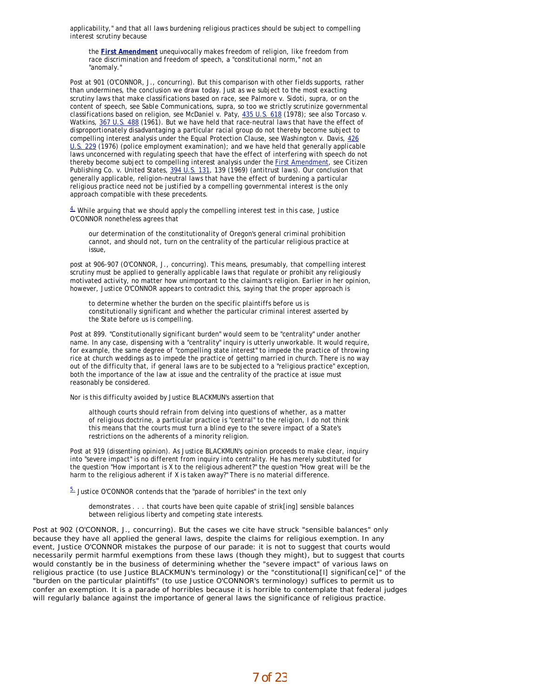applicability," and that all laws burdening religious practices should be subject to compelling interest scrutiny because

the **First Amendment** unequivocally makes freedom of religion, like freedom from race discrimination and freedom of speech, a "constitutional norm," not an "anomaly."

*Post* at 901 (O'CONNOR, J., concurring). But this comparison with other fields supports, rather than undermines, the conclusion we draw today. Just as we subject to the most exacting scrutiny laws that make classifications based on race, *see Palmore v. Sidoti, supra,* or on the content of speech, *see Sable Communications, supra,* so too we strictly scrutinize governmental classifications based on religion, *see McDaniel v. Paty,* 435 U.S. 618 (1978); *see also Torcaso v. Watkins,* 367 U.S. 488 (1961). But we have held that race-neutral laws that have the *effect* of disproportionately disadvantaging a particular racial group do not thereby become subject to compelling interest analysis under the Equal Protection Clause, *see Washington v. Davis,* 426 U.S. 229 (1976) (police employment examination); and we have held that generally applicable laws unconcerned with regulating speech that have the *effect* of interfering with speech do not thereby become subject to compelling interest analysis under the First Amendment, *see Citizen Publishing Co. v. United States,* 394 U.S. 131, 139 (1969) (antitrust laws). Our conclusion that generally applicable, religion-neutral laws that have the effect of burdening a particular religious practice need not be justified by a compelling governmental interest is the only approach compatible with these precedents.

 $4.$  While arguing that we should apply the compelling interest test in this case, Justice O'CONNOR nonetheless agrees that

our determination of the constitutionality of Oregon's general criminal prohibition cannot, and should not, turn on the centrality of the particular religious practice at issue,

*post* at 906-907 (O'CONNOR, J., concurring). This means, presumably, that compelling interest scrutiny must be applied to generally applicable laws that regulate or prohibit *any* religiously motivated activity, no matter how unimportant to the claimant's religion. Earlier in her opinion, however, Justice O'CONNOR appears to contradict this, saying that the proper approach is

to determine whether the burden on the specific plaintiffs before us is constitutionally significant and whether the particular criminal interest asserted by the State before us is compelling.

*Post* at 899. "Constitutionally significant burden" would seem to be "centrality" under another name. In any case, dispensing with a "centrality" inquiry is utterly unworkable. It would require, for example, the same degree of "compelling state interest" to impede the practice of throwing rice at church weddings as to impede the practice of getting married in church. There is no way out of the difficulty that, if general laws are to be subjected to a "religious practice" exception, *both* the importance of the law at issue *and* the centrality of the practice at issue must reasonably be considered.

Nor is this difficulty avoided by Justice BLACKMUN's assertion that

although courts should refrain from delving into questions of whether, as a matter of religious doctrine, a particular practice is "central" to the religion, I do not think this means that the courts must turn a blind eye to the severe impact of a State's restrictions on the adherents of a minority religion.

*Post* at 919 (dissenting opinion). As Justice BLACKMUN's opinion proceeds to make clear, inquiry into "severe impact" is no different from inquiry into centrality. He has merely substituted for the question "How important is X to the religious adherent?" the question "How great will be the harm to the religious adherent if X is taken away?" There is no material difference.

5. Justice O'CONNOR contends that the "parade of horribles" in the text only

demonstrates . . . that courts have been quite capable of strik[ing] sensible balances between religious liberty and competing state interests.

*Post* at 902 (O'CONNOR, J., concurring). But the cases we cite have struck "sensible balances" only because they have all applied the general laws, despite the claims for religious exemption. In any event, Justice O'CONNOR mistakes the purpose of our parade: it is not to suggest that courts would necessarily permit harmful exemptions from these laws (though they might), but to suggest that courts would constantly be in the business of determining whether the "severe impact" of various laws on religious practice (to use Justice BLACKMUN's terminology) or the "constitutiona[l] significan[ce]" of the "burden on the particular plaintiffs" (to use Justice O'CONNOR's terminology) suffices to permit us to confer an exemption. It is a parade of horribles because it is horrible to contemplate that federal judges will regularly balance against the importance of general laws the significance of religious practice.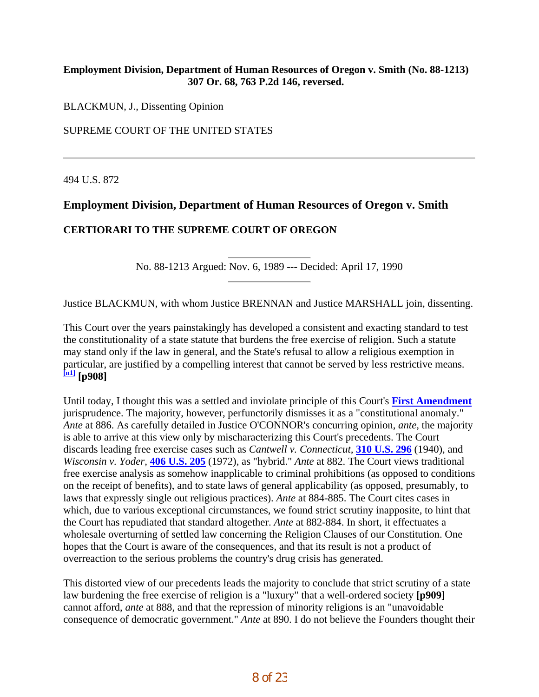### **Employment Division, Department of Human Resources of Oregon v. Smith (No. 88-1213) 307 Or. 68, 763 P.2d 146, reversed.**

BLACKMUN, J., Dissenting Opinion

SUPREME COURT OF THE UNITED STATES

494 U.S. 872

### **Employment Division, Department of Human Resources of Oregon v. Smith CERTIORARI TO THE SUPREME COURT OF OREGON**

No. 88-1213 Argued: Nov. 6, 1989 --- Decided: April 17, 1990

Justice BLACKMUN, with whom Justice BRENNAN and Justice MARSHALL join, dissenting.

This Court over the years painstakingly has developed a consistent and exacting standard to test the constitutionality of a state statute that burdens the free exercise of religion. Such a statute may stand only if the law in general, and the State's refusal to allow a religious exemption in particular, are justified by a compelling interest that cannot be served by less restrictive means. **[n1] [p908]**

Until today, I thought this was a settled and inviolate principle of this Court's **First Amendment** jurisprudence. The majority, however, perfunctorily dismisses it as a "constitutional anomaly." *Ante* at 886. As carefully detailed in Justice O'CONNOR's concurring opinion, *ante,* the majority is able to arrive at this view only by mischaracterizing this Court's precedents. The Court discards leading free exercise cases such as *Cantwell v. Connecticut,* **310 U.S. 296** (1940), and *Wisconsin v. Yoder,* **406 U.S. 205** (1972), as "hybrid." *Ante* at 882. The Court views traditional free exercise analysis as somehow inapplicable to criminal prohibitions (as opposed to conditions on the receipt of benefits), and to state laws of general applicability (as opposed, presumably, to laws that expressly single out religious practices). *Ante* at 884-885. The Court cites cases in which, due to various exceptional circumstances, we found strict scrutiny inapposite, to hint that the Court has repudiated that standard altogether. *Ante* at 882-884. In short, it effectuates a wholesale overturning of settled law concerning the Religion Clauses of our Constitution. One hopes that the Court is aware of the consequences, and that its result is not a product of overreaction to the serious problems the country's drug crisis has generated.

This distorted view of our precedents leads the majority to conclude that strict scrutiny of a state law burdening the free exercise of religion is a "luxury" that a well-ordered society **[p909]** cannot afford, *ante* at 888, and that the repression of minority religions is an "unavoidable consequence of democratic government." *Ante* at 890. I do not believe the Founders thought their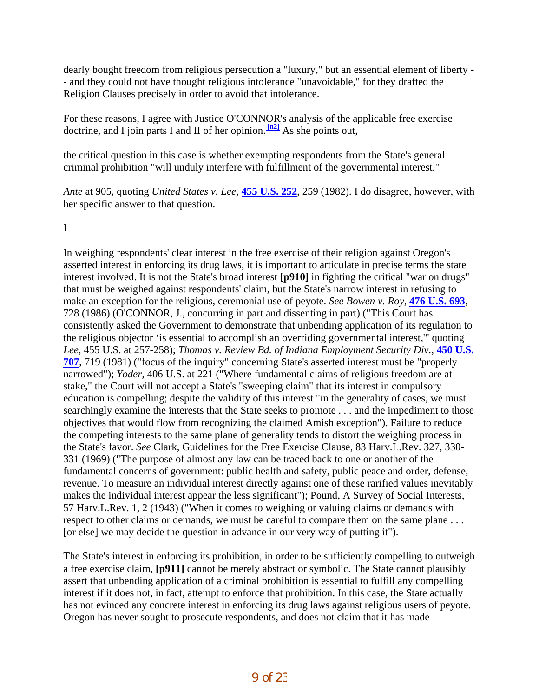dearly bought freedom from religious persecution a "luxury," but an essential element of liberty - - and they could not have thought religious intolerance "unavoidable," for they drafted the Religion Clauses precisely in order to avoid that intolerance.

For these reasons, I agree with Justice O'CONNOR's analysis of the applicable free exercise doctrine, and I join parts I and II of her opinion. **[n2]** As she points out,

the critical question in this case is whether exempting respondents from the State's general criminal prohibition "will unduly interfere with fulfillment of the governmental interest."

*Ante* at 905, quoting *United States v. Lee,* **455 U.S. 252**, 259 (1982). I do disagree, however, with her specific answer to that question.

I

In weighing respondents' clear interest in the free exercise of their religion against Oregon's asserted interest in enforcing its drug laws, it is important to articulate in precise terms the state interest involved. It is not the State's broad interest **[p910]** in fighting the critical "war on drugs" that must be weighed against respondents' claim, but the State's narrow interest in refusing to make an exception for the religious, ceremonial use of peyote. *See Bowen v. Roy,* **476 U.S. 693**, 728 (1986) (O'CONNOR, J., concurring in part and dissenting in part) ("This Court has consistently asked the Government to demonstrate that unbending application of its regulation to the religious objector 'is essential to accomplish an overriding governmental interest,'" quoting *Lee,* 455 U.S. at 257-258); *Thomas v. Review Bd. of Indiana Employment Security Div.,* **450 U.S. 707**, 719 (1981) ("focus of the inquiry" concerning State's asserted interest must be "properly narrowed"); *Yoder,* 406 U.S. at 221 ("Where fundamental claims of religious freedom are at stake," the Court will not accept a State's "sweeping claim" that its interest in compulsory education is compelling; despite the validity of this interest "in the generality of cases, we must searchingly examine the interests that the State seeks to promote . . . and the impediment to those objectives that would flow from recognizing the claimed Amish exception"). Failure to reduce the competing interests to the same plane of generality tends to distort the weighing process in the State's favor. *See* Clark, Guidelines for the Free Exercise Clause, 83 Harv.L.Rev. 327, 330- 331 (1969) ("The purpose of almost any law can be traced back to one or another of the fundamental concerns of government: public health and safety, public peace and order, defense, revenue. To measure an individual interest directly against one of these rarified values inevitably makes the individual interest appear the less significant"); Pound, A Survey of Social Interests, 57 Harv.L.Rev. 1, 2 (1943) ("When it comes to weighing or valuing claims or demands with respect to other claims or demands, we must be careful to compare them on the same plane . . . [or else] we may decide the question in advance in our very way of putting it").

The State's interest in enforcing its prohibition, in order to be sufficiently compelling to outweigh a free exercise claim, **[p911]** cannot be merely abstract or symbolic. The State cannot plausibly assert that unbending application of a criminal prohibition is essential to fulfill any compelling interest if it does not, in fact, attempt to enforce that prohibition. In this case, the State actually has not evinced any concrete interest in enforcing its drug laws against religious users of peyote. Oregon has never sought to prosecute respondents, and does not claim that it has made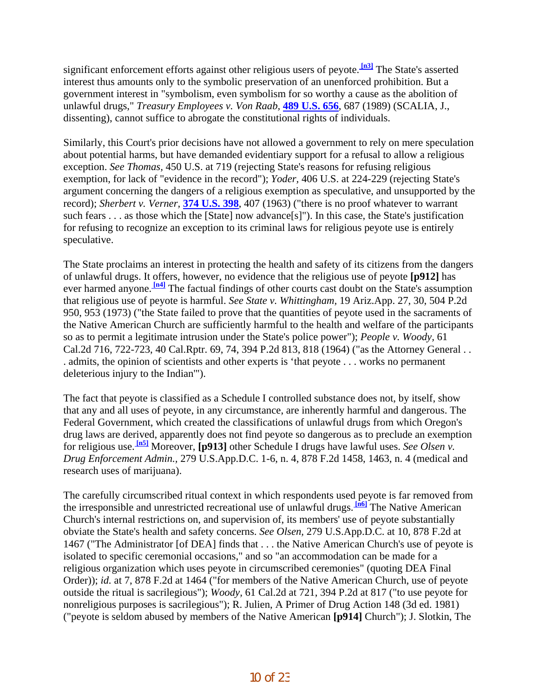significant enforcement efforts against other religious users of peyote. <sup>[n3]</sup> The State's asserted interest thus amounts only to the symbolic preservation of an unenforced prohibition. But a government interest in "symbolism, even symbolism for so worthy a cause as the abolition of unlawful drugs," *Treasury Employees v. Von Raab,* **489 U.S. 656**, 687 (1989) (SCALIA, J., dissenting), cannot suffice to abrogate the constitutional rights of individuals.

Similarly, this Court's prior decisions have not allowed a government to rely on mere speculation about potential harms, but have demanded evidentiary support for a refusal to allow a religious exception. *See Thomas,* 450 U.S. at 719 (rejecting State's reasons for refusing religious exemption, for lack of "evidence in the record"); *Yoder,* 406 U.S. at 224-229 (rejecting State's argument concerning the dangers of a religious exemption as speculative, and unsupported by the record); *Sherbert v. Verner,* **374 U.S. 398**, 407 (1963) ("there is no proof whatever to warrant such fears . . . as those which the [State] now advance[s]"). In this case, the State's justification for refusing to recognize an exception to its criminal laws for religious peyote use is entirely speculative.

The State proclaims an interest in protecting the health and safety of its citizens from the dangers of unlawful drugs. It offers, however, no evidence that the religious use of peyote **[p912]** has ever harmed anyone. <sup>[n4]</sup> The factual findings of other courts cast doubt on the State's assumption that religious use of peyote is harmful. *See State v. Whittingham,* 19 Ariz.App. 27, 30, 504 P.2d 950, 953 (1973) ("the State failed to prove that the quantities of peyote used in the sacraments of the Native American Church are sufficiently harmful to the health and welfare of the participants so as to permit a legitimate intrusion under the State's police power"); *People v. Woody,* 61 Cal.2d 716, 722-723, 40 Cal.Rptr. 69, 74, 394 P.2d 813, 818 (1964) ("as the Attorney General . . . admits, the opinion of scientists and other experts is 'that peyote . . . works no permanent deleterious injury to the Indian'").

The fact that peyote is classified as a Schedule I controlled substance does not, by itself, show that any and all uses of peyote, in any circumstance, are inherently harmful and dangerous. The Federal Government, which created the classifications of unlawful drugs from which Oregon's drug laws are derived, apparently does not find peyote so dangerous as to preclude an exemption for religious use. **[n5]** Moreover, **[p913]** other Schedule I drugs have lawful uses. *See Olsen v. Drug Enforcement Admin.,* 279 U.S.App.D.C. 1-6, n. 4, 878 F.2d 1458, 1463, n. 4 (medical and research uses of marijuana).

The carefully circumscribed ritual context in which respondents used peyote is far removed from the irresponsible and unrestricted recreational use of unlawful drugs. **[n6]** The Native American Church's internal restrictions on, and supervision of, its members' use of peyote substantially obviate the State's health and safety concerns. *See Olsen,* 279 U.S.App.D.C. at 10, 878 F.2d at 1467 ("The Administrator [of DEA] finds that . . . the Native American Church's use of peyote is isolated to specific ceremonial occasions," and so "an accommodation can be made for a religious organization which uses peyote in circumscribed ceremonies" (quoting DEA Final Order)); *id.* at 7, 878 F.2d at 1464 ("for members of the Native American Church, use of peyote outside the ritual is sacrilegious"); *Woody,* 61 Cal.2d at 721, 394 P.2d at 817 ("to use peyote for nonreligious purposes is sacrilegious"); R. Julien, A Primer of Drug Action 148 (3d ed. 1981) ("peyote is seldom abused by members of the Native American **[p914]** Church"); J. Slotkin, The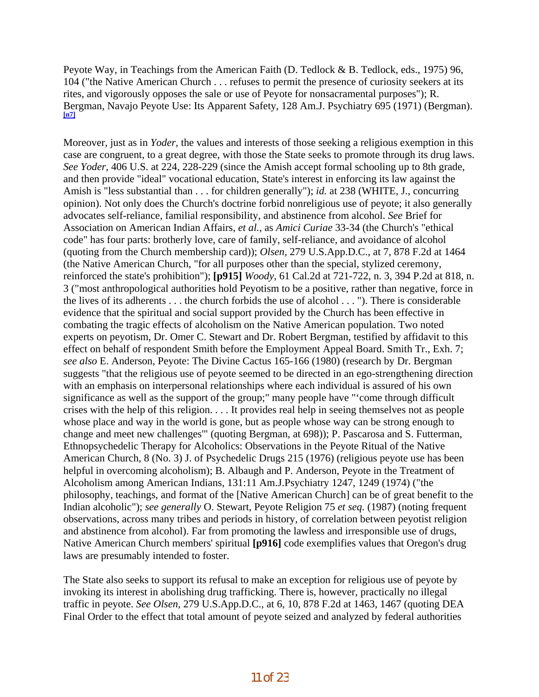Peyote Way, in Teachings from the American Faith (D. Tedlock & B. Tedlock, eds., 1975) 96, 104 ("the Native American Church . . . refuses to permit the presence of curiosity seekers at its rites, and vigorously opposes the sale or use of Peyote for nonsacramental purposes"); R. Bergman, Navajo Peyote Use: Its Apparent Safety, 128 Am.J. Psychiatry 695 (1971) (Bergman). **[n7]**

Moreover, just as in *Yoder,* the values and interests of those seeking a religious exemption in this case are congruent, to a great degree, with those the State seeks to promote through its drug laws. *See Yoder,* 406 U.S. at 224, 228-229 (since the Amish accept formal schooling up to 8th grade, and then provide "ideal" vocational education, State's interest in enforcing its law against the Amish is "less substantial than . . . for children generally"); *id.* at 238 (WHITE, J., concurring opinion). Not only does the Church's doctrine forbid nonreligious use of peyote; it also generally advocates self-reliance, familial responsibility, and abstinence from alcohol. *See* Brief for Association on American Indian Affairs, *et al.,* as *Amici Curiae* 33-34 (the Church's "ethical code" has four parts: brotherly love, care of family, self-reliance, and avoidance of alcohol (quoting from the Church membership card)); *Olsen,* 279 U.S.App.D.C., at 7, 878 F.2d at 1464 (the Native American Church, "for all purposes other than the special, stylized ceremony, reinforced the state's prohibition"); **[p915]** *Woody,* 61 Cal.2d at 721-722, n. 3, 394 P.2d at 818, n. 3 ("most anthropological authorities hold Peyotism to be a positive, rather than negative, force in the lives of its adherents . . . the church forbids the use of alcohol . . . "). There is considerable evidence that the spiritual and social support provided by the Church has been effective in combating the tragic effects of alcoholism on the Native American population. Two noted experts on peyotism, Dr. Omer C. Stewart and Dr. Robert Bergman, testified by affidavit to this effect on behalf of respondent Smith before the Employment Appeal Board. Smith Tr., Exh. 7; *see also* E. Anderson, Peyote: The Divine Cactus 165-166 (1980) (research by Dr. Bergman suggests "that the religious use of peyote seemed to be directed in an ego-strengthening direction with an emphasis on interpersonal relationships where each individual is assured of his own significance as well as the support of the group;" many people have "'come through difficult crises with the help of this religion. . . . It provides real help in seeing themselves not as people whose place and way in the world is gone, but as people whose way can be strong enough to change and meet new challenges'" (quoting Bergman, at 698)); P. Pascarosa and S. Futterman, Ethnopsychedelic Therapy for Alcoholics: Observations in the Peyote Ritual of the Native American Church, 8 (No. 3) J. of Psychedelic Drugs 215 (1976) (religious peyote use has been helpful in overcoming alcoholism); B. Albaugh and P. Anderson, Peyote in the Treatment of Alcoholism among American Indians, 131:11 Am.J.Psychiatry 1247, 1249 (1974) ("the philosophy, teachings, and format of the [Native American Church] can be of great benefit to the Indian alcoholic"); *see generally* O. Stewart, Peyote Religion 75 *et seq.* (1987) (noting frequent observations, across many tribes and periods in history, of correlation between peyotist religion and abstinence from alcohol). Far from promoting the lawless and irresponsible use of drugs, Native American Church members' spiritual **[p916]** code exemplifies values that Oregon's drug laws are presumably intended to foster.

The State also seeks to support its refusal to make an exception for religious use of peyote by invoking its interest in abolishing drug trafficking. There is, however, practically no illegal traffic in peyote. *See Olsen,* 279 U.S.App.D.C., at 6, 10, 878 F.2d at 1463, 1467 (quoting DEA Final Order to the effect that total amount of peyote seized and analyzed by federal authorities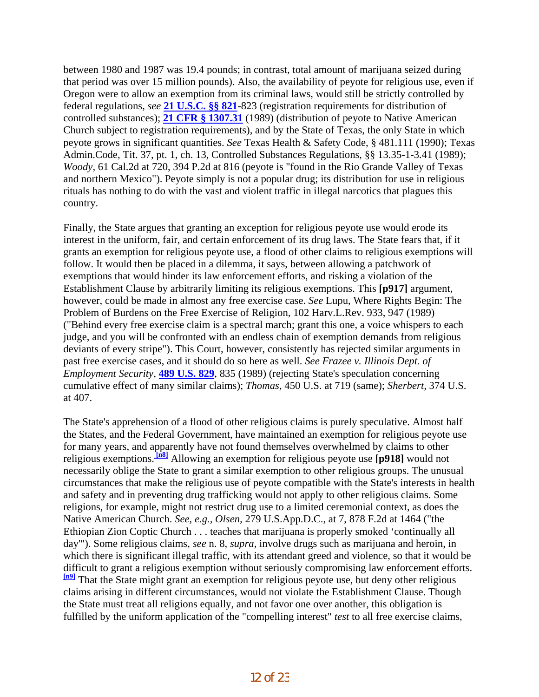between 1980 and 1987 was 19.4 pounds; in contrast, total amount of marijuana seized during that period was over 15 million pounds). Also, the availability of peyote for religious use, even if Oregon were to allow an exemption from its criminal laws, would still be strictly controlled by federal regulations, *see* **21 U.S.C. §§ 821**-823 (registration requirements for distribution of controlled substances); **21 CFR § 1307.31** (1989) (distribution of peyote to Native American Church subject to registration requirements), and by the State of Texas, the only State in which peyote grows in significant quantities. *See* Texas Health & Safety Code, § 481.111 (1990); Texas Admin.Code, Tit. 37, pt. 1, ch. 13, Controlled Substances Regulations, §§ 13.35-1-3.41 (1989); *Woody,* 61 Cal.2d at 720, 394 P.2d at 816 (peyote is "found in the Rio Grande Valley of Texas and northern Mexico"). Peyote simply is not a popular drug; its distribution for use in religious rituals has nothing to do with the vast and violent traffic in illegal narcotics that plagues this country.

Finally, the State argues that granting an exception for religious peyote use would erode its interest in the uniform, fair, and certain enforcement of its drug laws. The State fears that, if it grants an exemption for religious peyote use, a flood of other claims to religious exemptions will follow. It would then be placed in a dilemma, it says, between allowing a patchwork of exemptions that would hinder its law enforcement efforts, and risking a violation of the Establishment Clause by arbitrarily limiting its religious exemptions. This **[p917]** argument, however, could be made in almost any free exercise case. *See* Lupu, Where Rights Begin: The Problem of Burdens on the Free Exercise of Religion, 102 Harv.L.Rev. 933, 947 (1989) ("Behind every free exercise claim is a spectral march; grant this one, a voice whispers to each judge, and you will be confronted with an endless chain of exemption demands from religious deviants of every stripe"). This Court, however, consistently has rejected similar arguments in past free exercise cases, and it should do so here as well. *See Frazee v. Illinois Dept. of Employment Security,* **489 U.S. 829**, 835 (1989) (rejecting State's speculation concerning cumulative effect of many similar claims); *Thomas,* 450 U.S. at 719 (same); *Sherbert,* 374 U.S. at 407.

The State's apprehension of a flood of other religious claims is purely speculative. Almost half the States, and the Federal Government, have maintained an exemption for religious peyote use for many years, and apparently have not found themselves overwhelmed by claims to other religious exemptions. **[n8]** Allowing an exemption for religious peyote use **[p918]** would not necessarily oblige the State to grant a similar exemption to other religious groups. The unusual circumstances that make the religious use of peyote compatible with the State's interests in health and safety and in preventing drug trafficking would not apply to other religious claims. Some religions, for example, might not restrict drug use to a limited ceremonial context, as does the Native American Church. *See, e.g., Olsen,* 279 U.S.App.D.C., at 7, 878 F.2d at 1464 ("the Ethiopian Zion Coptic Church . . . teaches that marijuana is properly smoked 'continually all day'"). Some religious claims, *see* n. 8, *supra,* involve drugs such as marijuana and heroin, in which there is significant illegal traffic, with its attendant greed and violence, so that it would be difficult to grant a religious exemption without seriously compromising law enforcement efforts. **[n9]** That the State might grant an exemption for religious peyote use, but deny other religious claims arising in different circumstances, would not violate the Establishment Clause. Though the State must treat all religions equally, and not favor one over another, this obligation is fulfilled by the uniform application of the "compelling interest" *test* to all free exercise claims,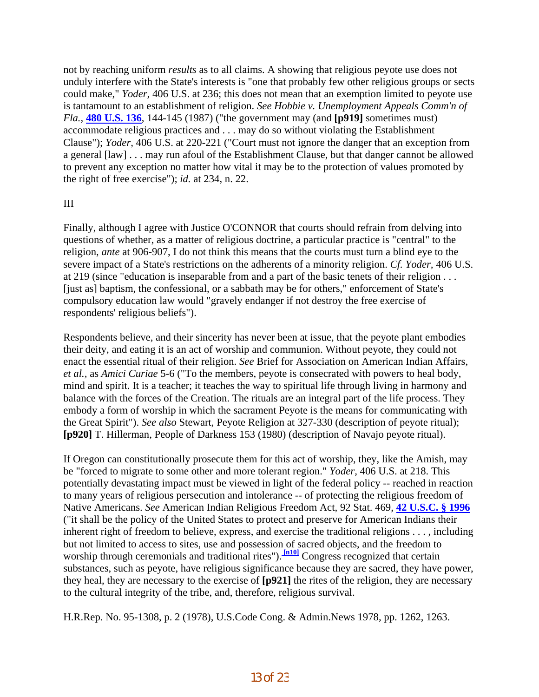not by reaching uniform *results* as to all claims. A showing that religious peyote use does not unduly interfere with the State's interests is "one that probably few other religious groups or sects could make," *Yoder,* 406 U.S. at 236; this does not mean that an exemption limited to peyote use is tantamount to an establishment of religion. *See Hobbie v. Unemployment Appeals Comm'n of Fla.,* **480 U.S. 136**, 144-145 (1987) ("the government may (and **[p919]** sometimes must) accommodate religious practices and . . . may do so without violating the Establishment Clause"); *Yoder,* 406 U.S. at 220-221 ("Court must not ignore the danger that an exception from a general [law] . . . may run afoul of the Establishment Clause, but that danger cannot be allowed to prevent any exception no matter how vital it may be to the protection of values promoted by the right of free exercise"); *id.* at 234, n. 22.

### III

Finally, although I agree with Justice O'CONNOR that courts should refrain from delving into questions of whether, as a matter of religious doctrine, a particular practice is "central" to the religion, *ante* at 906-907, I do not think this means that the courts must turn a blind eye to the severe impact of a State's restrictions on the adherents of a minority religion. *Cf. Yoder,* 406 U.S. at 219 (since "education is inseparable from and a part of the basic tenets of their religion . . . [just as] baptism, the confessional, or a sabbath may be for others," enforcement of State's compulsory education law would "gravely endanger if not destroy the free exercise of respondents' religious beliefs").

Respondents believe, and their sincerity has never been at issue, that the peyote plant embodies their deity, and eating it is an act of worship and communion. Without peyote, they could not enact the essential ritual of their religion. *See* Brief for Association on American Indian Affairs, *et al.,* as *Amici Curiae* 5-6 ("To the members, peyote is consecrated with powers to heal body, mind and spirit. It is a teacher; it teaches the way to spiritual life through living in harmony and balance with the forces of the Creation. The rituals are an integral part of the life process. They embody a form of worship in which the sacrament Peyote is the means for communicating with the Great Spirit"). *See also* Stewart, Peyote Religion at 327-330 (description of peyote ritual); **[p920]** T. Hillerman, People of Darkness 153 (1980) (description of Navajo peyote ritual).

If Oregon can constitutionally prosecute them for this act of worship, they, like the Amish, may be "forced to migrate to some other and more tolerant region." *Yoder,* 406 U.S. at 218. This potentially devastating impact must be viewed in light of the federal policy -- reached in reaction to many years of religious persecution and intolerance -- of protecting the religious freedom of Native Americans. *See* American Indian Religious Freedom Act, 92 Stat. 469, **42 U.S.C. § 1996** ("it shall be the policy of the United States to protect and preserve for American Indians their inherent right of freedom to believe, express, and exercise the traditional religions . . . , including but not limited to access to sites, use and possession of sacred objects, and the freedom to worship through ceremonials and traditional rites"). <sup>[n10]</sup> Congress recognized that certain substances, such as peyote, have religious significance because they are sacred, they have power, they heal, they are necessary to the exercise of **[p921]** the rites of the religion, they are necessary to the cultural integrity of the tribe, and, therefore, religious survival.

H.R.Rep. No. 95-1308, p. 2 (1978), U.S.Code Cong. & Admin.News 1978, pp. 1262, 1263.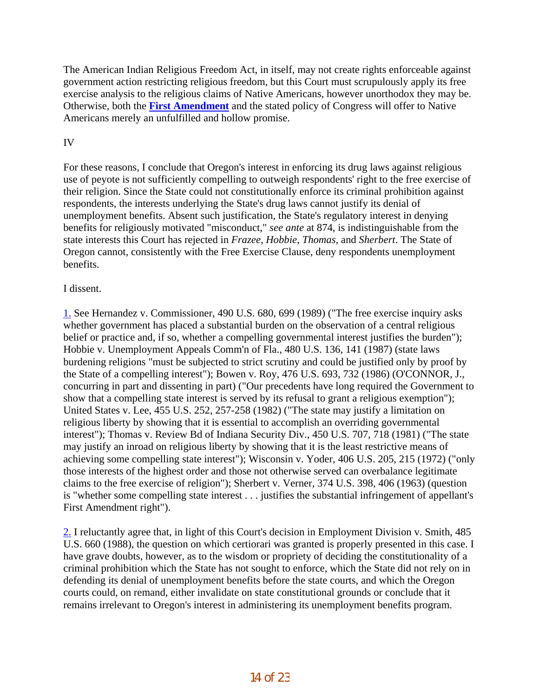The American Indian Religious Freedom Act, in itself, may not create rights enforceable against government action restricting religious freedom, but this Court must scrupulously apply its free exercise analysis to the religious claims of Native Americans, however unorthodox they may be. Otherwise, both the **First Amendment** and the stated policy of Congress will offer to Native Americans merely an unfulfilled and hollow promise.

### IV

For these reasons, I conclude that Oregon's interest in enforcing its drug laws against religious use of peyote is not sufficiently compelling to outweigh respondents' right to the free exercise of their religion. Since the State could not constitutionally enforce its criminal prohibition against respondents, the interests underlying the State's drug laws cannot justify its denial of unemployment benefits. Absent such justification, the State's regulatory interest in denying benefits for religiously motivated "misconduct," *see ante* at 874, is indistinguishable from the state interests this Court has rejected in *Frazee, Hobbie, Thomas,* and *Sherbert*. The State of Oregon cannot, consistently with the Free Exercise Clause, deny respondents unemployment benefits.

### I dissent.

1. See Hernandez v. Commissioner, 490 U.S. 680, 699 (1989) ("The free exercise inquiry asks whether government has placed a substantial burden on the observation of a central religious belief or practice and, if so, whether a compelling governmental interest justifies the burden"); Hobbie v. Unemployment Appeals Comm'n of Fla., 480 U.S. 136, 141 (1987) (state laws burdening religions "must be subjected to strict scrutiny and could be justified only by proof by the State of a compelling interest"); Bowen v. Roy, 476 U.S. 693, 732 (1986) (O'CONNOR, J., concurring in part and dissenting in part) ("Our precedents have long required the Government to show that a compelling state interest is served by its refusal to grant a religious exemption"); United States v. Lee, 455 U.S. 252, 257-258 (1982) ("The state may justify a limitation on religious liberty by showing that it is essential to accomplish an overriding governmental interest"); Thomas v. Review Bd of Indiana Security Div., 450 U.S. 707, 718 (1981) ("The state may justify an inroad on religious liberty by showing that it is the least restrictive means of achieving some compelling state interest"); Wisconsin v. Yoder, 406 U.S. 205, 215 (1972) ("only those interests of the highest order and those not otherwise served can overbalance legitimate claims to the free exercise of religion"); Sherbert v. Verner, 374 U.S. 398, 406 (1963) (question is "whether some compelling state interest . . . justifies the substantial infringement of appellant's First Amendment right").

2. I reluctantly agree that, in light of this Court's decision in Employment Division v. Smith, 485 U.S. 660 (1988), the question on which certiorari was granted is properly presented in this case. I have grave doubts, however, as to the wisdom or propriety of deciding the constitutionality of a criminal prohibition which the State has not sought to enforce, which the State did not rely on in defending its denial of unemployment benefits before the state courts, and which the Oregon courts could, on remand, either invalidate on state constitutional grounds or conclude that it remains irrelevant to Oregon's interest in administering its unemployment benefits program.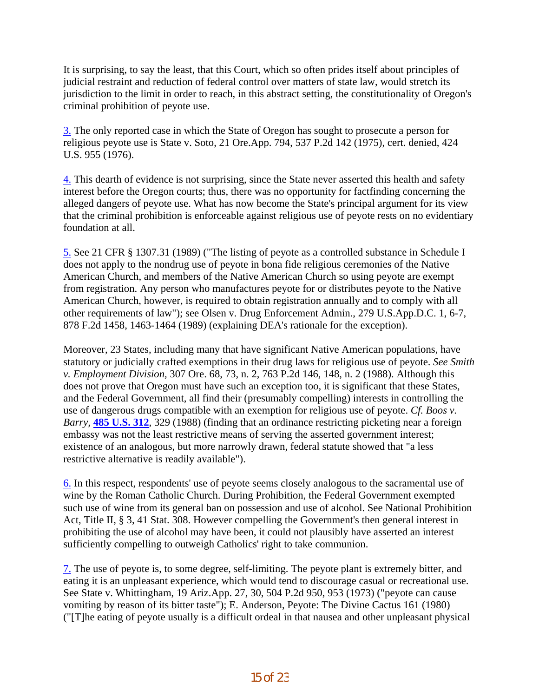It is surprising, to say the least, that this Court, which so often prides itself about principles of judicial restraint and reduction of federal control over matters of state law, would stretch its jurisdiction to the limit in order to reach, in this abstract setting, the constitutionality of Oregon's criminal prohibition of peyote use.

3. The only reported case in which the State of Oregon has sought to prosecute a person for religious peyote use is State v. Soto, 21 Ore.App. 794, 537 P.2d 142 (1975), cert. denied, 424 U.S. 955 (1976).

4. This dearth of evidence is not surprising, since the State never asserted this health and safety interest before the Oregon courts; thus, there was no opportunity for factfinding concerning the alleged dangers of peyote use. What has now become the State's principal argument for its view that the criminal prohibition is enforceable against religious use of peyote rests on no evidentiary foundation at all.

5. See 21 CFR § 1307.31 (1989) ("The listing of peyote as a controlled substance in Schedule I does not apply to the nondrug use of peyote in bona fide religious ceremonies of the Native American Church, and members of the Native American Church so using peyote are exempt from registration. Any person who manufactures peyote for or distributes peyote to the Native American Church, however, is required to obtain registration annually and to comply with all other requirements of law"); see Olsen v. Drug Enforcement Admin., 279 U.S.App.D.C. 1, 6-7, 878 F.2d 1458, 1463-1464 (1989) (explaining DEA's rationale for the exception).

Moreover, 23 States, including many that have significant Native American populations, have statutory or judicially crafted exemptions in their drug laws for religious use of peyote. *See Smith v. Employment Division,* 307 Ore. 68, 73, n. 2, 763 P.2d 146, 148, n. 2 (1988). Although this does not prove that Oregon must have such an exception too, it is significant that these States, and the Federal Government, all find their (presumably compelling) interests in controlling the use of dangerous drugs compatible with an exemption for religious use of peyote. *Cf. Boos v. Barry,* **485 U.S. 312**, 329 (1988) (finding that an ordinance restricting picketing near a foreign embassy was not the least restrictive means of serving the asserted government interest; existence of an analogous, but more narrowly drawn, federal statute showed that "a less restrictive alternative is readily available").

6. In this respect, respondents' use of peyote seems closely analogous to the sacramental use of wine by the Roman Catholic Church. During Prohibition, the Federal Government exempted such use of wine from its general ban on possession and use of alcohol. See National Prohibition Act, Title II, § 3, 41 Stat. 308. However compelling the Government's then general interest in prohibiting the use of alcohol may have been, it could not plausibly have asserted an interest sufficiently compelling to outweigh Catholics' right to take communion.

7. The use of peyote is, to some degree, self-limiting. The peyote plant is extremely bitter, and eating it is an unpleasant experience, which would tend to discourage casual or recreational use. See State v. Whittingham, 19 Ariz.App. 27, 30, 504 P.2d 950, 953 (1973) ("peyote can cause vomiting by reason of its bitter taste"); E. Anderson, Peyote: The Divine Cactus 161 (1980) ("[T]he eating of peyote usually is a difficult ordeal in that nausea and other unpleasant physical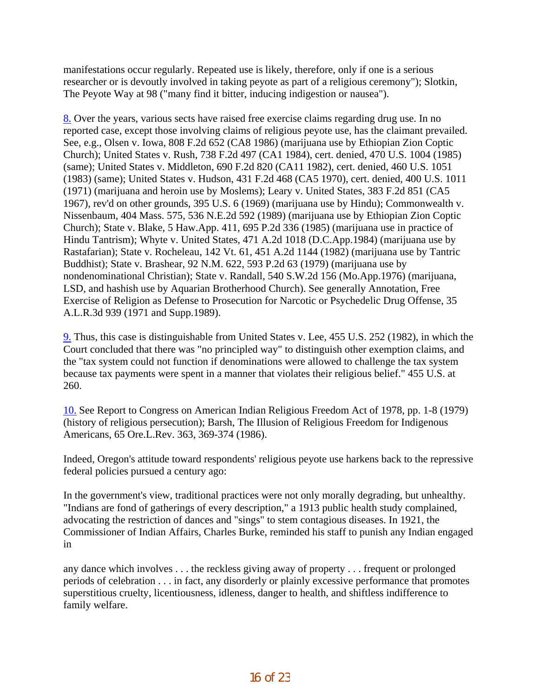manifestations occur regularly. Repeated use is likely, therefore, only if one is a serious researcher or is devoutly involved in taking peyote as part of a religious ceremony"); Slotkin, The Peyote Way at 98 ("many find it bitter, inducing indigestion or nausea").

8. Over the years, various sects have raised free exercise claims regarding drug use. In no reported case, except those involving claims of religious peyote use, has the claimant prevailed. See, e.g., Olsen v. Iowa, 808 F.2d 652 (CA8 1986) (marijuana use by Ethiopian Zion Coptic Church); United States v. Rush, 738 F.2d 497 (CA1 1984), cert. denied, 470 U.S. 1004 (1985) (same); United States v. Middleton, 690 F.2d 820 (CA11 1982), cert. denied, 460 U.S. 1051 (1983) (same); United States v. Hudson, 431 F.2d 468 (CA5 1970), cert. denied, 400 U.S. 1011 (1971) (marijuana and heroin use by Moslems); Leary v. United States, 383 F.2d 851 (CA5 1967), rev'd on other grounds, 395 U.S. 6 (1969) (marijuana use by Hindu); Commonwealth v. Nissenbaum, 404 Mass. 575, 536 N.E.2d 592 (1989) (marijuana use by Ethiopian Zion Coptic Church); State v. Blake, 5 Haw.App. 411, 695 P.2d 336 (1985) (marijuana use in practice of Hindu Tantrism); Whyte v. United States, 471 A.2d 1018 (D.C.App.1984) (marijuana use by Rastafarian); State v. Rocheleau, 142 Vt. 61, 451 A.2d 1144 (1982) (marijuana use by Tantric Buddhist); State v. Brashear, 92 N.M. 622, 593 P.2d 63 (1979) (marijuana use by nondenominational Christian); State v. Randall, 540 S.W.2d 156 (Mo.App.1976) (marijuana, LSD, and hashish use by Aquarian Brotherhood Church). See generally Annotation, Free Exercise of Religion as Defense to Prosecution for Narcotic or Psychedelic Drug Offense, 35 A.L.R.3d 939 (1971 and Supp.1989).

9. Thus, this case is distinguishable from United States v. Lee, 455 U.S. 252 (1982), in which the Court concluded that there was "no principled way" to distinguish other exemption claims, and the "tax system could not function if denominations were allowed to challenge the tax system because tax payments were spent in a manner that violates their religious belief." 455 U.S. at 260.

10. See Report to Congress on American Indian Religious Freedom Act of 1978, pp. 1-8 (1979) (history of religious persecution); Barsh, The Illusion of Religious Freedom for Indigenous Americans, 65 Ore.L.Rev. 363, 369-374 (1986).

Indeed, Oregon's attitude toward respondents' religious peyote use harkens back to the repressive federal policies pursued a century ago:

In the government's view, traditional practices were not only morally degrading, but unhealthy. "Indians are fond of gatherings of every description," a 1913 public health study complained, advocating the restriction of dances and "sings" to stem contagious diseases. In 1921, the Commissioner of Indian Affairs, Charles Burke, reminded his staff to punish any Indian engaged in

any dance which involves . . . the reckless giving away of property . . . frequent or prolonged periods of celebration . . . in fact, any disorderly or plainly excessive performance that promotes superstitious cruelty, licentiousness, idleness, danger to health, and shiftless indifference to family welfare.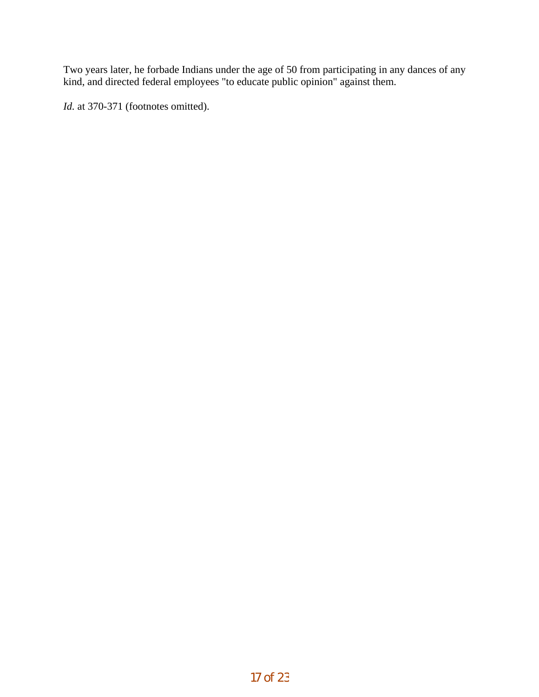Two years later, he forbade Indians under the age of 50 from participating in any dances of any kind, and directed federal employees "to educate public opinion" against them.

Id. at 370-371 (footnotes omitted).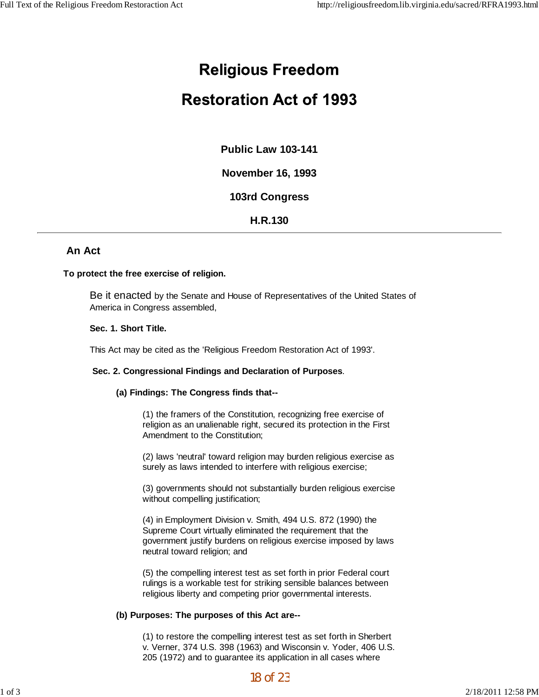### **Religious Freedom**

### **Restoration Act of 1993**

**Public Law 103-141**

**November 16, 1993**

### **103rd Congress**

### **H.R.130**

### **An Act**

### **To protect the free exercise of religion.**

Be it enacted by the Senate and House of Representatives of the United States of America in Congress assembled,

### **Sec. 1. Short Title.**

This Act may be cited as the 'Religious Freedom Restoration Act of 1993'.

### **Sec. 2. Congressional Findings and Declaration of Purposes**.

### **(a) Findings: The Congress finds that--**

(1) the framers of the Constitution, recognizing free exercise of religion as an unalienable right, secured its protection in the First Amendment to the Constitution;

(2) laws 'neutral' toward religion may burden religious exercise as surely as laws intended to interfere with religious exercise;

(3) governments should not substantially burden religious exercise without compelling justification;

(4) in Employment Division v. Smith, 494 U.S. 872 (1990) the Supreme Court virtually eliminated the requirement that the government justify burdens on religious exercise imposed by laws neutral toward religion; and

(5) the compelling interest test as set forth in prior Federal court rulings is a workable test for striking sensible balances between religious liberty and competing prior governmental interests.

### **(b) Purposes: The purposes of this Act are--**

(1) to restore the compelling interest test as set forth in Sherbert v. Verner, 374 U.S. 398 (1963) and Wisconsin v. Yoder, 406 U.S. 205 (1972) and to guarantee its application in all cases where

### 18 of 23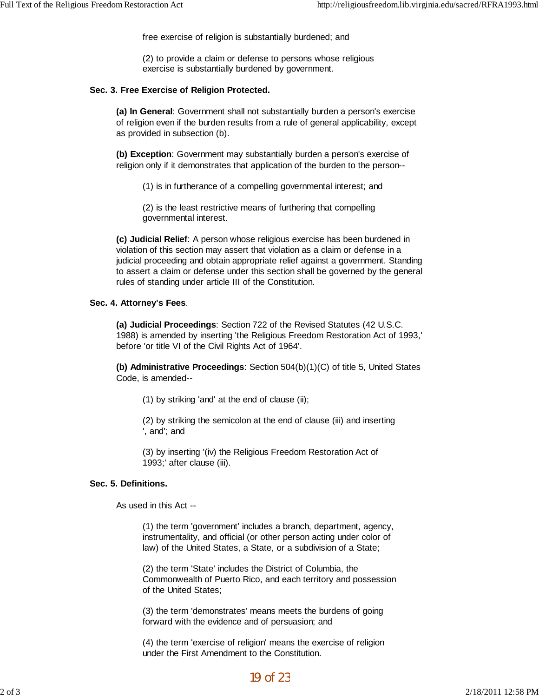free exercise of religion is substantially burdened; and

(2) to provide a claim or defense to persons whose religious exercise is substantially burdened by government.

### **Sec. 3. Free Exercise of Religion Protected.**

**(a) In General**: Government shall not substantially burden a person's exercise of religion even if the burden results from a rule of general applicability, except as provided in subsection (b).

**(b) Exception**: Government may substantially burden a person's exercise of religion only if it demonstrates that application of the burden to the person--

(1) is in furtherance of a compelling governmental interest; and

(2) is the least restrictive means of furthering that compelling governmental interest.

**(c) Judicial Relief**: A person whose religious exercise has been burdened in violation of this section may assert that violation as a claim or defense in a judicial proceeding and obtain appropriate relief against a government. Standing to assert a claim or defense under this section shall be governed by the general rules of standing under article III of the Constitution.

### **Sec. 4. Attorney's Fees**.

**(a) Judicial Proceedings**: Section 722 of the Revised Statutes (42 U.S.C. 1988) is amended by inserting 'the Religious Freedom Restoration Act of 1993,' before 'or title VI of the Civil Rights Act of 1964'.

**(b) Administrative Proceedings**: Section 504(b)(1)(C) of title 5, United States Code, is amended--

(1) by striking 'and' at the end of clause (ii);

(2) by striking the semicolon at the end of clause (iii) and inserting ', and'; and

(3) by inserting '(iv) the Religious Freedom Restoration Act of 1993;' after clause (iii).

### **Sec. 5. Definitions.**

As used in this Act --

(1) the term 'government' includes a branch, department, agency, instrumentality, and official (or other person acting under color of law) of the United States, a State, or a subdivision of a State;

(2) the term 'State' includes the District of Columbia, the Commonwealth of Puerto Rico, and each territory and possession of the United States;

(3) the term 'demonstrates' means meets the burdens of going forward with the evidence and of persuasion; and

(4) the term 'exercise of religion' means the exercise of religion under the First Amendment to the Constitution.

### 19 of 23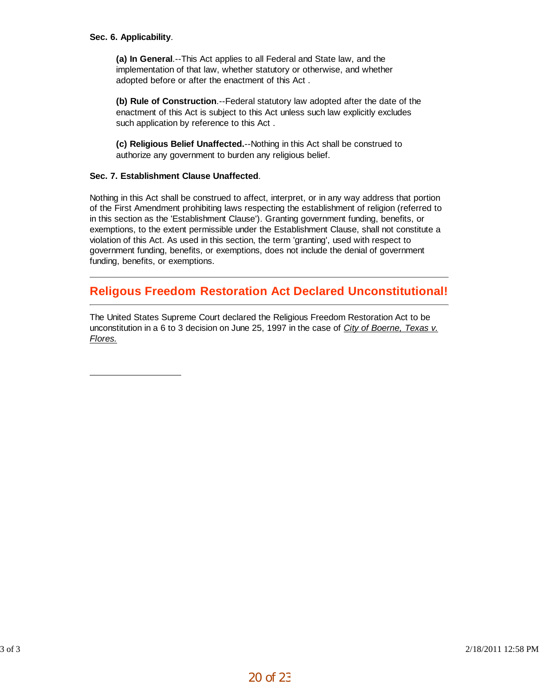### **Sec. 6. Applicability**.

**(a) In General**.--This Act applies to all Federal and State law, and the implementation of that law, whether statutory or otherwise, and whether adopted before or after the enactment of this Act .

**(b) Rule of Construction**.--Federal statutory law adopted after the date of the enactment of this Act is subject to this Act unless such law explicitly excludes such application by reference to this Act .

**(c) Religious Belief Unaffected.**--Nothing in this Act shall be construed to authorize any government to burden any religious belief.

### **Sec. 7. Establishment Clause Unaffected**.

Nothing in this Act shall be construed to affect, interpret, or in any way address that portion of the First Amendment prohibiting laws respecting the establishment of religion (referred to in this section as the 'Establishment Clause'). Granting government funding, benefits, or exemptions, to the extent permissible under the Establishment Clause, shall not constitute a violation of this Act. As used in this section, the term 'granting', used with respect to government funding, benefits, or exemptions, does not include the denial of government funding, benefits, or exemptions.

### **Religous Freedom Restoration Act Declared Unconstitutional!**

The United States Supreme Court declared the Religious Freedom Restoration Act to be unconstitution in a 6 to 3 decision on June 25, 1997 in the case of *City of Boerne, Texas v. Flores.*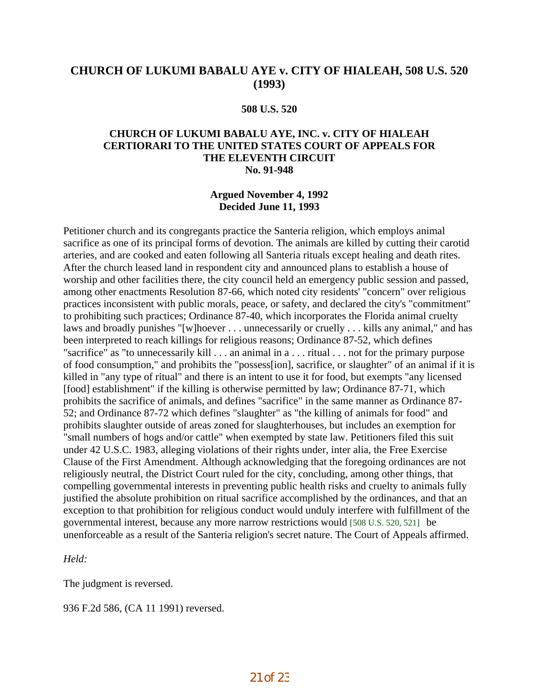### **CHURCH OF LUKUMI BABALU AYE v. CITY OF HIALEAH, 508 U.S. 520 (1993)**

### **508 U.S. 520**

### **CHURCH OF LUKUMI BABALU AYE, INC. v. CITY OF HIALEAH CERTIORARI TO THE UNITED STATES COURT OF APPEALS FOR THE ELEVENTH CIRCUIT No. 91-948**

### **Argued November 4, 1992 Decided June 11, 1993**

Petitioner church and its congregants practice the Santeria religion, which employs animal sacrifice as one of its principal forms of devotion. The animals are killed by cutting their carotid arteries, and are cooked and eaten following all Santeria rituals except healing and death rites. After the church leased land in respondent city and announced plans to establish a house of worship and other facilities there, the city council held an emergency public session and passed, among other enactments Resolution 87-66, which noted city residents' "concern" over religious practices inconsistent with public morals, peace, or safety, and declared the city's "commitment" to prohibiting such practices; Ordinance 87-40, which incorporates the Florida animal cruelty laws and broadly punishes "[w]hoever . . . unnecessarily or cruelly . . . kills any animal," and has been interpreted to reach killings for religious reasons; Ordinance 87-52, which defines "sacrifice" as "to unnecessarily kill . . . an animal in a . . . ritual . . . not for the primary purpose of food consumption," and prohibits the "possess[ion], sacrifice, or slaughter" of an animal if it is killed in "any type of ritual" and there is an intent to use it for food, but exempts "any licensed [food] establishment" if the killing is otherwise permitted by law; Ordinance 87-71, which prohibits the sacrifice of animals, and defines "sacrifice" in the same manner as Ordinance 87- 52; and Ordinance 87-72 which defines "slaughter" as "the killing of animals for food" and prohibits slaughter outside of areas zoned for slaughterhouses, but includes an exemption for "small numbers of hogs and/or cattle" when exempted by state law. Petitioners filed this suit under 42 U.S.C. 1983, alleging violations of their rights under, inter alia, the Free Exercise Clause of the First Amendment. Although acknowledging that the foregoing ordinances are not religiously neutral, the District Court ruled for the city, concluding, among other things, that compelling governmental interests in preventing public health risks and cruelty to animals fully justified the absolute prohibition on ritual sacrifice accomplished by the ordinances, and that an exception to that prohibition for religious conduct would unduly interfere with fulfillment of the governmental interest, because any more narrow restrictions would [508 U.S. 520, 521] be unenforceable as a result of the Santeria religion's secret nature. The Court of Appeals affirmed.

*Held:* 

The judgment is reversed.

936 F.2d 586, (CA 11 1991) reversed.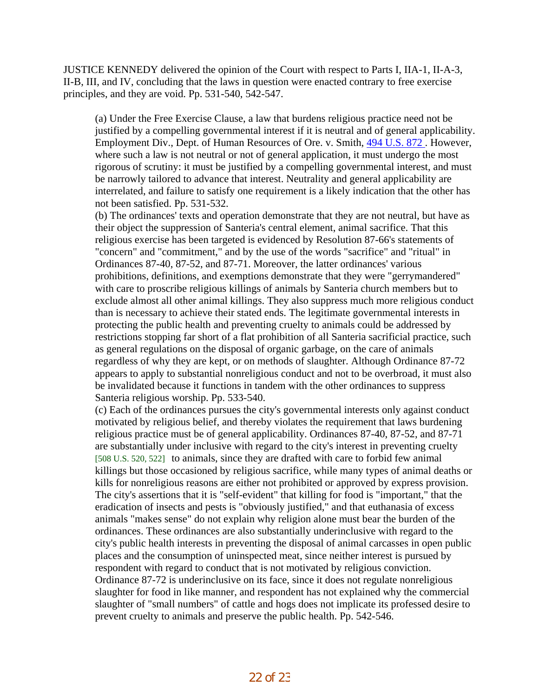JUSTICE KENNEDY delivered the opinion of the Court with respect to Parts I, IIA-1, II-A-3, II-B, III, and IV, concluding that the laws in question were enacted contrary to free exercise principles, and they are void. Pp. 531-540, 542-547.

(a) Under the Free Exercise Clause, a law that burdens religious practice need not be justified by a compelling governmental interest if it is neutral and of general applicability. Employment Div., Dept. of Human Resources of Ore. v. Smith, 494 U.S. 872 . However, where such a law is not neutral or not of general application, it must undergo the most rigorous of scrutiny: it must be justified by a compelling governmental interest, and must be narrowly tailored to advance that interest. Neutrality and general applicability are interrelated, and failure to satisfy one requirement is a likely indication that the other has not been satisfied. Pp. 531-532.

(b) The ordinances' texts and operation demonstrate that they are not neutral, but have as their object the suppression of Santeria's central element, animal sacrifice. That this religious exercise has been targeted is evidenced by Resolution 87-66's statements of "concern" and "commitment," and by the use of the words "sacrifice" and "ritual" in Ordinances 87-40, 87-52, and 87-71. Moreover, the latter ordinances' various prohibitions, definitions, and exemptions demonstrate that they were "gerrymandered" with care to proscribe religious killings of animals by Santeria church members but to exclude almost all other animal killings. They also suppress much more religious conduct than is necessary to achieve their stated ends. The legitimate governmental interests in protecting the public health and preventing cruelty to animals could be addressed by restrictions stopping far short of a flat prohibition of all Santeria sacrificial practice, such as general regulations on the disposal of organic garbage, on the care of animals regardless of why they are kept, or on methods of slaughter. Although Ordinance 87-72 appears to apply to substantial nonreligious conduct and not to be overbroad, it must also be invalidated because it functions in tandem with the other ordinances to suppress Santeria religious worship. Pp. 533-540.

(c) Each of the ordinances pursues the city's governmental interests only against conduct motivated by religious belief, and thereby violates the requirement that laws burdening religious practice must be of general applicability. Ordinances 87-40, 87-52, and 87-71 are substantially under inclusive with regard to the city's interest in preventing cruelty [508 U.S. 520, 522] to animals, since they are drafted with care to forbid few animal killings but those occasioned by religious sacrifice, while many types of animal deaths or kills for nonreligious reasons are either not prohibited or approved by express provision. The city's assertions that it is "self-evident" that killing for food is "important," that the eradication of insects and pests is "obviously justified," and that euthanasia of excess animals "makes sense" do not explain why religion alone must bear the burden of the ordinances. These ordinances are also substantially underinclusive with regard to the city's public health interests in preventing the disposal of animal carcasses in open public places and the consumption of uninspected meat, since neither interest is pursued by respondent with regard to conduct that is not motivated by religious conviction. Ordinance 87-72 is underinclusive on its face, since it does not regulate nonreligious slaughter for food in like manner, and respondent has not explained why the commercial slaughter of "small numbers" of cattle and hogs does not implicate its professed desire to prevent cruelty to animals and preserve the public health. Pp. 542-546.